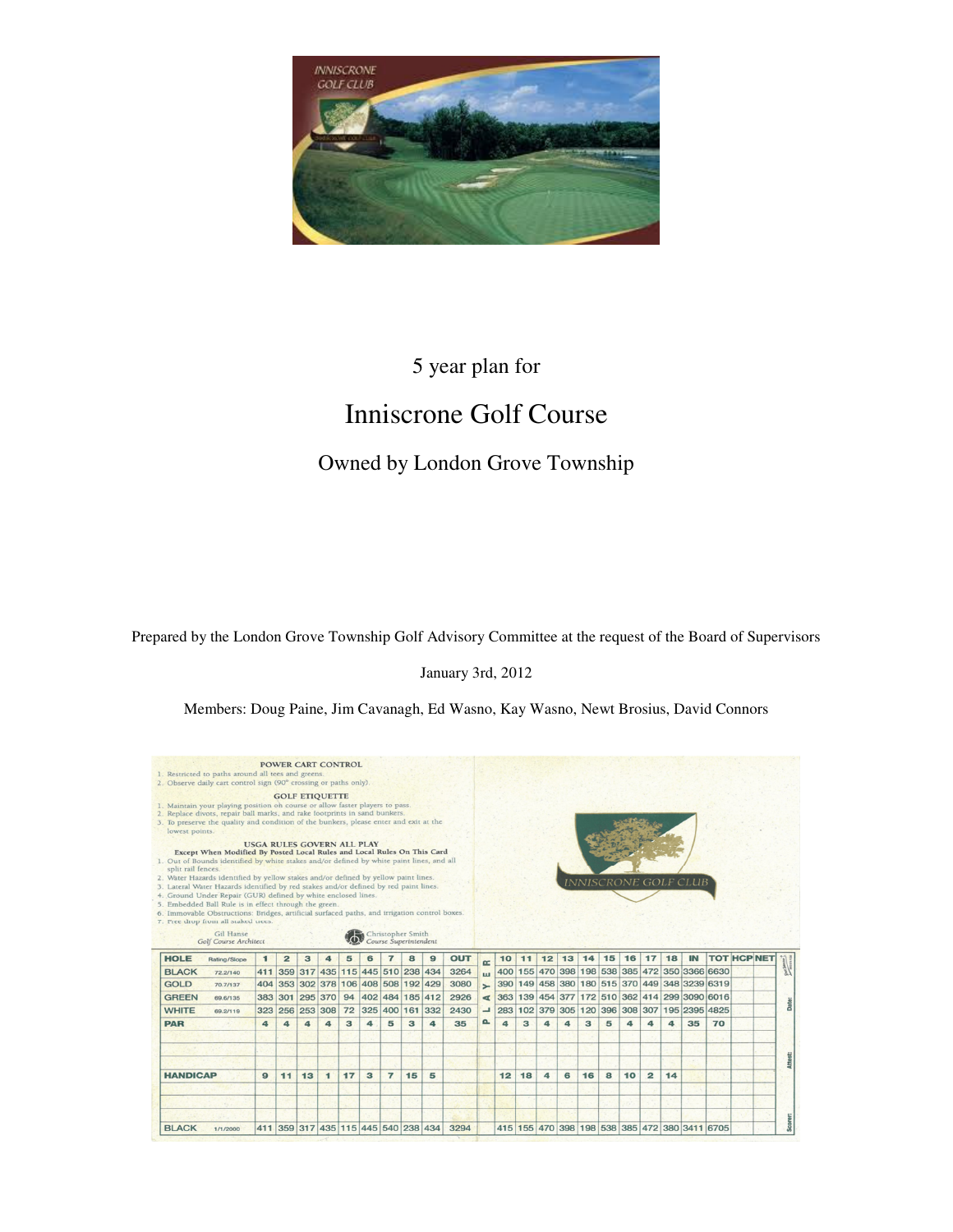

# 5 year plan for

# Inniscrone Golf Course

## Owned by London Grove Township

Prepared by the London Grove Township Golf Advisory Committee at the request of the Board of Supervisors

#### January 3rd, 2012

Members: Doug Paine, Jim Cavanagh, Ed Wasno, Kay Wasno, Newt Brosius, David Connors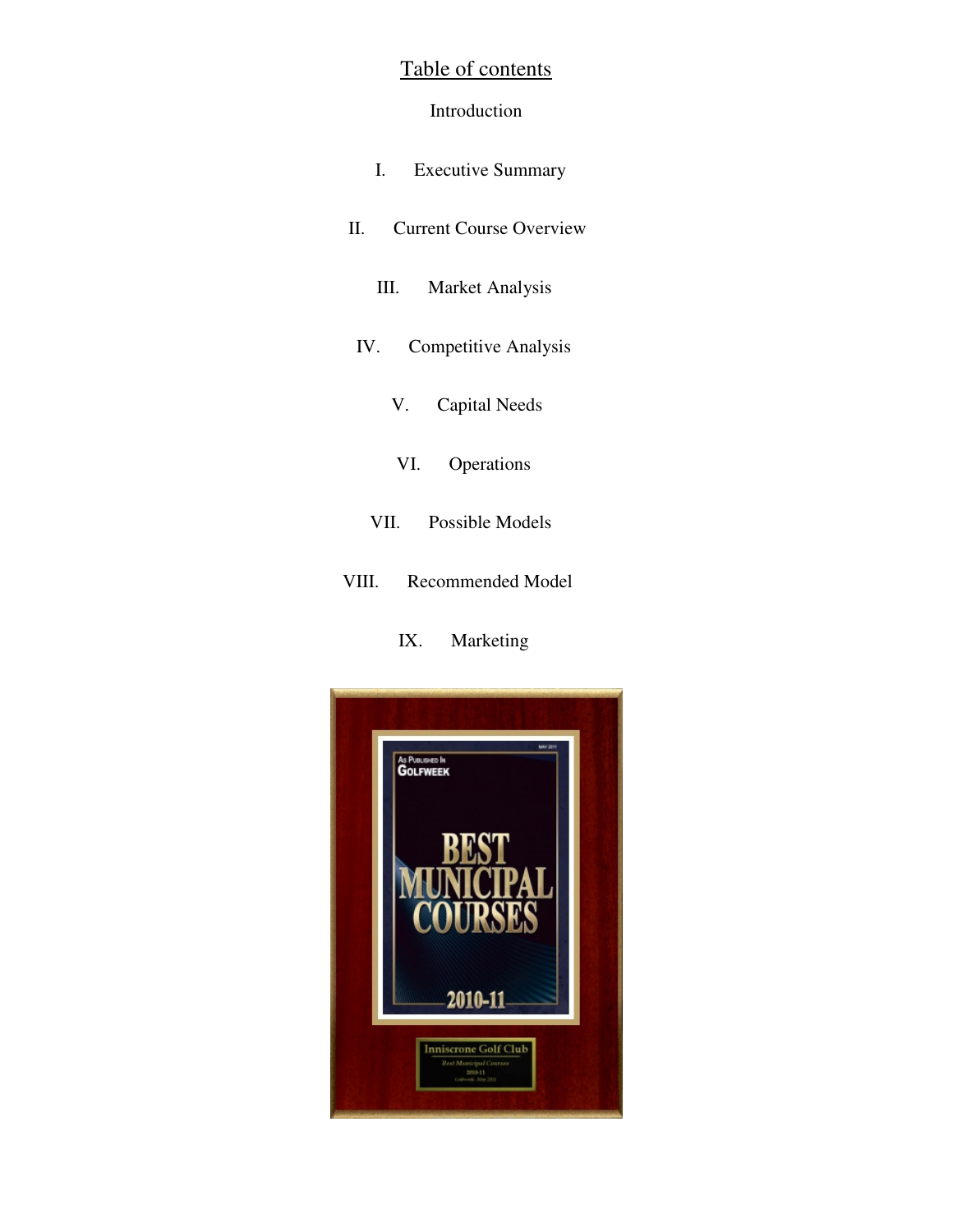## Table of contents

## Introduction

- I. Executive Summary
- II. Current Course Overview
	- III. Market Analysis
- IV. Competitive Analysis
	- V. Capital Needs
	- VI. Operations
	- VII. Possible Models
- VIII. Recommended Model

## IX. Marketing

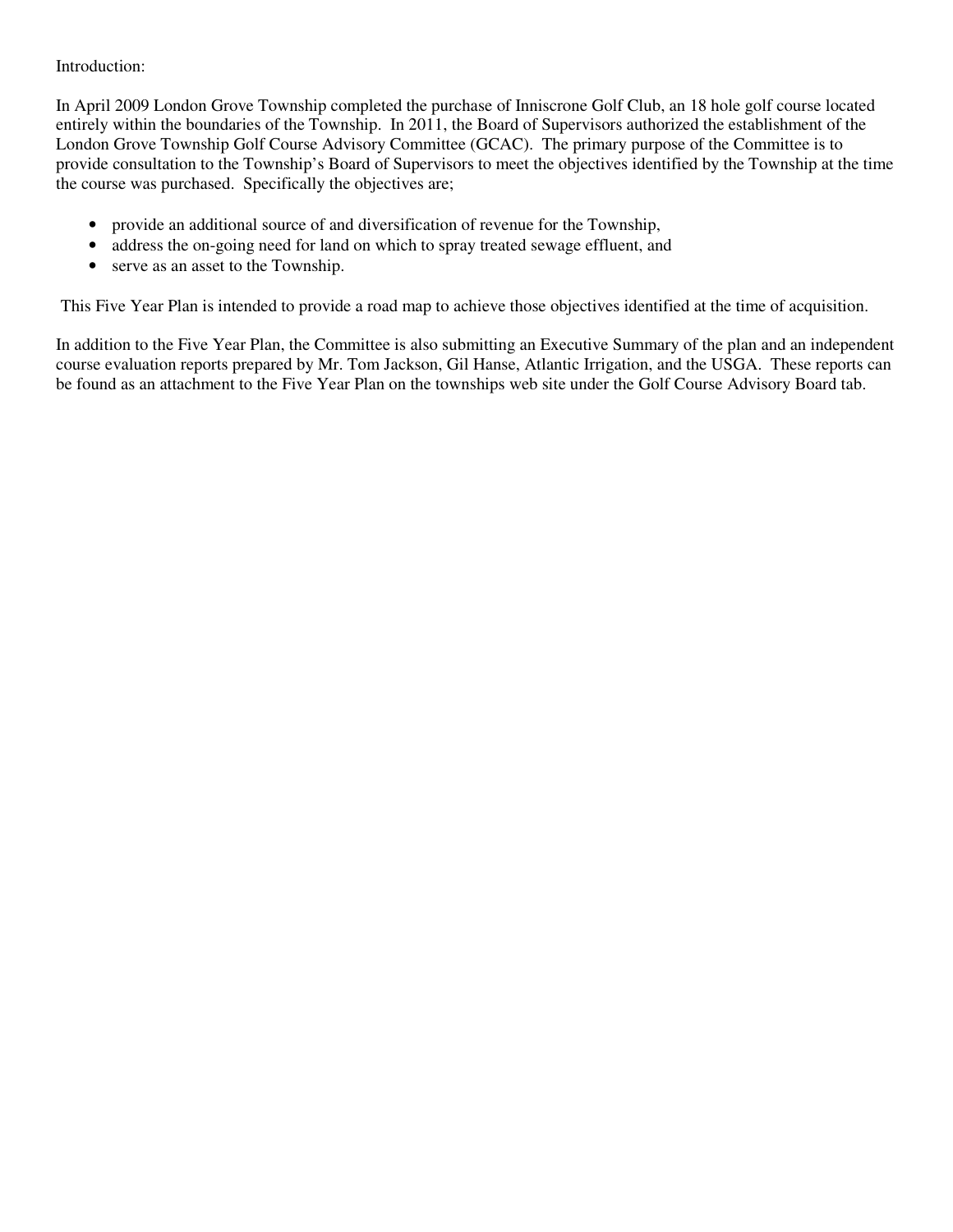### Introduction:

In April 2009 London Grove Township completed the purchase of Inniscrone Golf Club, an 18 hole golf course located entirely within the boundaries of the Township. In 2011, the Board of Supervisors authorized the establishment of the London Grove Township Golf Course Advisory Committee (GCAC). The primary purpose of the Committee is to provide consultation to the Township's Board of Supervisors to meet the objectives identified by the Township at the time the course was purchased. Specifically the objectives are;

- provide an additional source of and diversification of revenue for the Township,
- address the on-going need for land on which to spray treated sewage effluent, and
- serve as an asset to the Township.

This Five Year Plan is intended to provide a road map to achieve those objectives identified at the time of acquisition.

In addition to the Five Year Plan, the Committee is also submitting an Executive Summary of the plan and an independent course evaluation reports prepared by Mr. Tom Jackson, Gil Hanse, Atlantic Irrigation, and the USGA. These reports can be found as an attachment to the Five Year Plan on the townships web site under the Golf Course Advisory Board tab.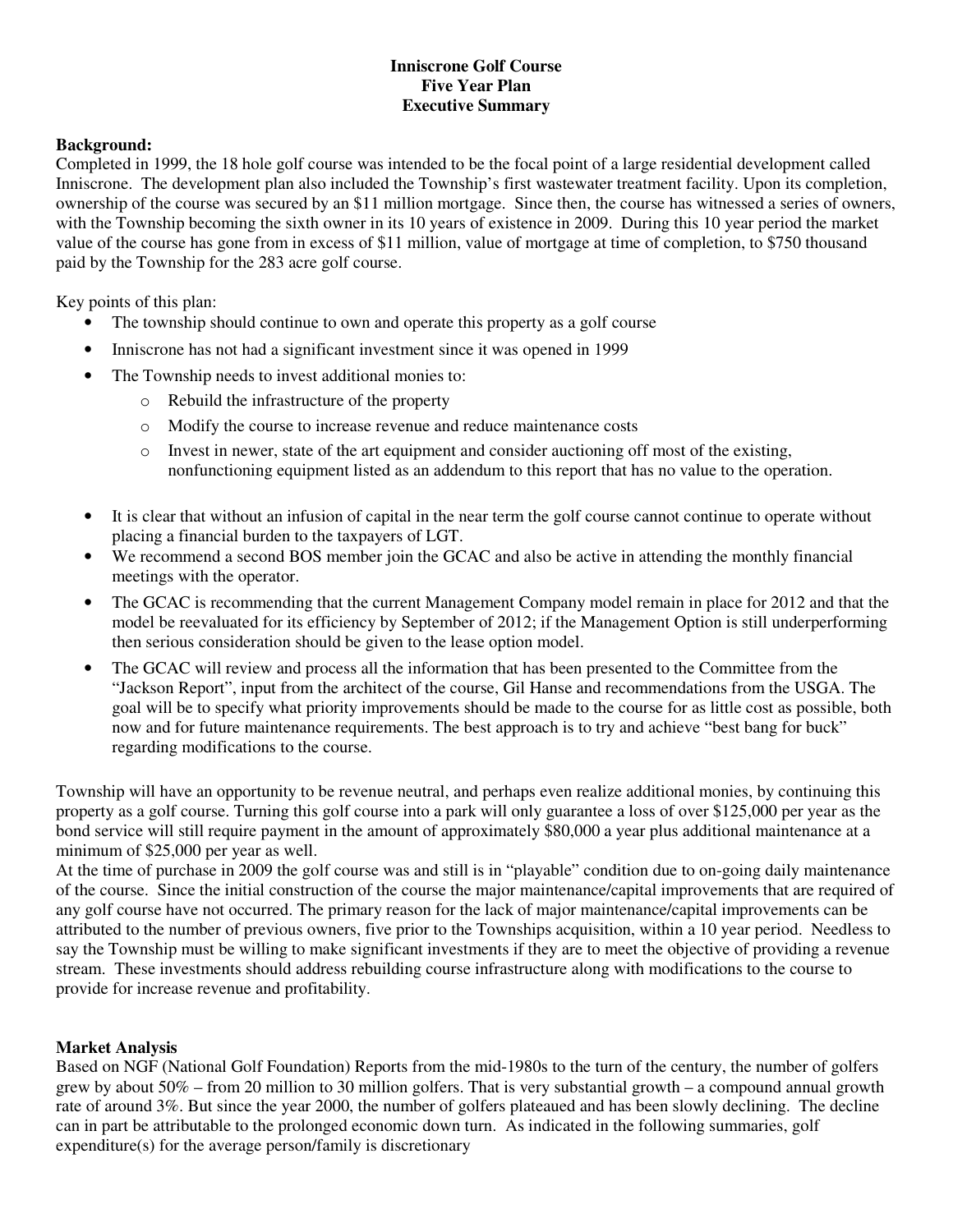## **Inniscrone Golf Course Five Year Plan Executive Summary**

#### **Background:**

Completed in 1999, the 18 hole golf course was intended to be the focal point of a large residential development called Inniscrone. The development plan also included the Township's first wastewater treatment facility. Upon its completion, ownership of the course was secured by an \$11 million mortgage. Since then, the course has witnessed a series of owners, with the Township becoming the sixth owner in its 10 years of existence in 2009. During this 10 year period the market value of the course has gone from in excess of \$11 million, value of mortgage at time of completion, to \$750 thousand paid by the Township for the 283 acre golf course.

Key points of this plan:

- The township should continue to own and operate this property as a golf course
- Inniscrone has not had a significant investment since it was opened in 1999
- The Township needs to invest additional monies to:
	- o Rebuild the infrastructure of the property
	- o Modify the course to increase revenue and reduce maintenance costs
	- $\circ$  Invest in newer, state of the art equipment and consider auctioning off most of the existing, nonfunctioning equipment listed as an addendum to this report that has no value to the operation.
- It is clear that without an infusion of capital in the near term the golf course cannot continue to operate without placing a financial burden to the taxpayers of LGT.
- We recommend a second BOS member join the GCAC and also be active in attending the monthly financial meetings with the operator.
- The GCAC is recommending that the current Management Company model remain in place for 2012 and that the model be reevaluated for its efficiency by September of 2012; if the Management Option is still underperforming then serious consideration should be given to the lease option model.
- The GCAC will review and process all the information that has been presented to the Committee from the "Jackson Report", input from the architect of the course, Gil Hanse and recommendations from the USGA. The goal will be to specify what priority improvements should be made to the course for as little cost as possible, both now and for future maintenance requirements. The best approach is to try and achieve "best bang for buck" regarding modifications to the course.

Township will have an opportunity to be revenue neutral, and perhaps even realize additional monies, by continuing this property as a golf course. Turning this golf course into a park will only guarantee a loss of over \$125,000 per year as the bond service will still require payment in the amount of approximately \$80,000 a year plus additional maintenance at a minimum of \$25,000 per year as well.

At the time of purchase in 2009 the golf course was and still is in "playable" condition due to on-going daily maintenance of the course. Since the initial construction of the course the major maintenance/capital improvements that are required of any golf course have not occurred. The primary reason for the lack of major maintenance/capital improvements can be attributed to the number of previous owners, five prior to the Townships acquisition, within a 10 year period. Needless to say the Township must be willing to make significant investments if they are to meet the objective of providing a revenue stream. These investments should address rebuilding course infrastructure along with modifications to the course to provide for increase revenue and profitability.

#### **Market Analysis**

Based on NGF (National Golf Foundation) Reports from the mid-1980s to the turn of the century, the number of golfers grew by about 50% – from 20 million to 30 million golfers. That is very substantial growth – a compound annual growth rate of around 3%. But since the year 2000, the number of golfers plateaued and has been slowly declining. The decline can in part be attributable to the prolonged economic down turn. As indicated in the following summaries, golf expenditure(s) for the average person/family is discretionary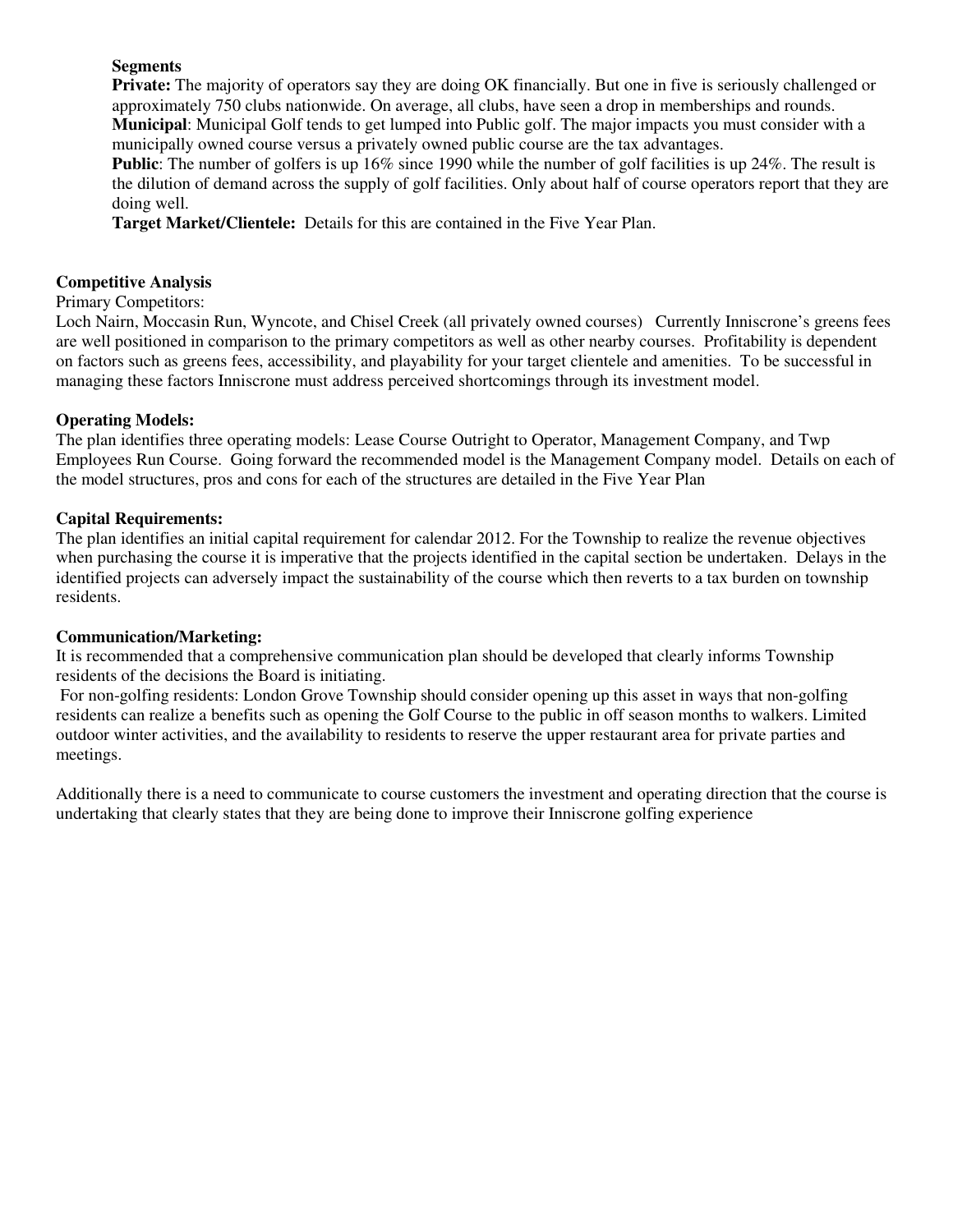## **Segments**

**Private:** The majority of operators say they are doing OK financially. But one in five is seriously challenged or approximately 750 clubs nationwide. On average, all clubs, have seen a drop in memberships and rounds. **Municipal**: Municipal Golf tends to get lumped into Public golf. The major impacts you must consider with a municipally owned course versus a privately owned public course are the tax advantages.

**Public**: The number of golfers is up 16% since 1990 while the number of golf facilities is up 24%. The result is the dilution of demand across the supply of golf facilities. Only about half of course operators report that they are doing well.

**Target Market/Clientele:** Details for this are contained in the Five Year Plan.

## **Competitive Analysis**

### Primary Competitors:

Loch Nairn, Moccasin Run, Wyncote, and Chisel Creek (all privately owned courses) Currently Inniscrone's greens fees are well positioned in comparison to the primary competitors as well as other nearby courses. Profitability is dependent on factors such as greens fees, accessibility, and playability for your target clientele and amenities. To be successful in managing these factors Inniscrone must address perceived shortcomings through its investment model.

## **Operating Models:**

The plan identifies three operating models: Lease Course Outright to Operator, Management Company, and Twp Employees Run Course. Going forward the recommended model is the Management Company model. Details on each of the model structures, pros and cons for each of the structures are detailed in the Five Year Plan

## **Capital Requirements:**

The plan identifies an initial capital requirement for calendar 2012. For the Township to realize the revenue objectives when purchasing the course it is imperative that the projects identified in the capital section be undertaken. Delays in the identified projects can adversely impact the sustainability of the course which then reverts to a tax burden on township residents.

#### **Communication/Marketing:**

It is recommended that a comprehensive communication plan should be developed that clearly informs Township residents of the decisions the Board is initiating.

 For non-golfing residents: London Grove Township should consider opening up this asset in ways that non-golfing residents can realize a benefits such as opening the Golf Course to the public in off season months to walkers. Limited outdoor winter activities, and the availability to residents to reserve the upper restaurant area for private parties and meetings.

Additionally there is a need to communicate to course customers the investment and operating direction that the course is undertaking that clearly states that they are being done to improve their Inniscrone golfing experience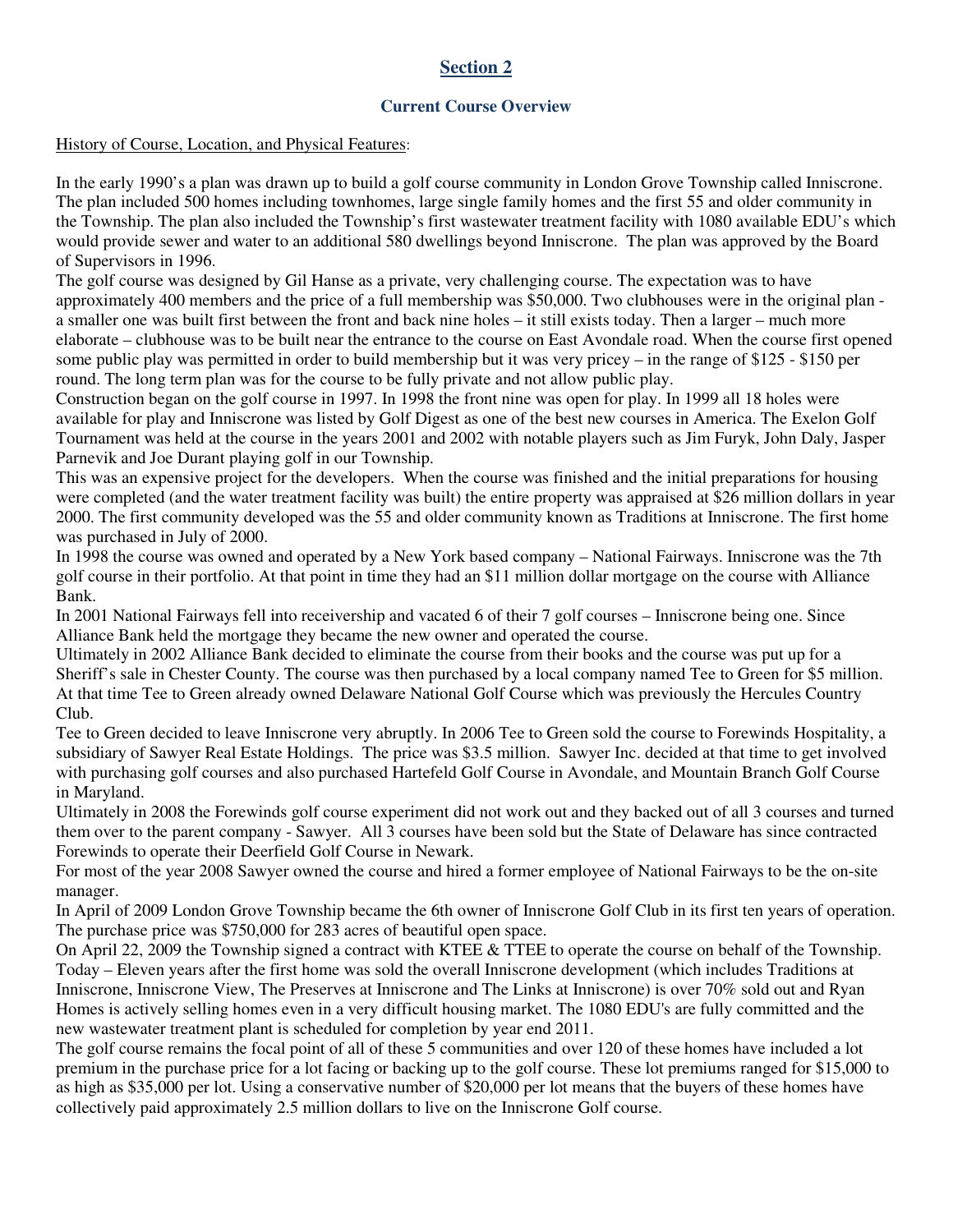## **Current Course Overview**

#### History of Course, Location, and Physical Features:

In the early 1990's a plan was drawn up to build a golf course community in London Grove Township called Inniscrone. The plan included 500 homes including townhomes, large single family homes and the first 55 and older community in the Township. The plan also included the Township's first wastewater treatment facility with 1080 available EDU's which would provide sewer and water to an additional 580 dwellings beyond Inniscrone. The plan was approved by the Board of Supervisors in 1996.

The golf course was designed by Gil Hanse as a private, very challenging course. The expectation was to have approximately 400 members and the price of a full membership was \$50,000. Two clubhouses were in the original plan a smaller one was built first between the front and back nine holes – it still exists today. Then a larger – much more elaborate – clubhouse was to be built near the entrance to the course on East Avondale road. When the course first opened some public play was permitted in order to build membership but it was very pricey – in the range of \$125 - \$150 per round. The long term plan was for the course to be fully private and not allow public play.

Construction began on the golf course in 1997. In 1998 the front nine was open for play. In 1999 all 18 holes were available for play and Inniscrone was listed by Golf Digest as one of the best new courses in America. The Exelon Golf Tournament was held at the course in the years 2001 and 2002 with notable players such as Jim Furyk, John Daly, Jasper Parnevik and Joe Durant playing golf in our Township.

This was an expensive project for the developers. When the course was finished and the initial preparations for housing were completed (and the water treatment facility was built) the entire property was appraised at \$26 million dollars in year 2000. The first community developed was the 55 and older community known as Traditions at Inniscrone. The first home was purchased in July of 2000.

In 1998 the course was owned and operated by a New York based company – National Fairways. Inniscrone was the 7th golf course in their portfolio. At that point in time they had an \$11 million dollar mortgage on the course with Alliance Bank.

In 2001 National Fairways fell into receivership and vacated 6 of their 7 golf courses – Inniscrone being one. Since Alliance Bank held the mortgage they became the new owner and operated the course.

Ultimately in 2002 Alliance Bank decided to eliminate the course from their books and the course was put up for a Sheriff's sale in Chester County. The course was then purchased by a local company named Tee to Green for \$5 million. At that time Tee to Green already owned Delaware National Golf Course which was previously the Hercules Country Club.

Tee to Green decided to leave Inniscrone very abruptly. In 2006 Tee to Green sold the course to Forewinds Hospitality, a subsidiary of Sawyer Real Estate Holdings. The price was \$3.5 million. Sawyer Inc. decided at that time to get involved with purchasing golf courses and also purchased Hartefeld Golf Course in Avondale, and Mountain Branch Golf Course in Maryland.

Ultimately in 2008 the Forewinds golf course experiment did not work out and they backed out of all 3 courses and turned them over to the parent company - Sawyer. All 3 courses have been sold but the State of Delaware has since contracted Forewinds to operate their Deerfield Golf Course in Newark.

For most of the year 2008 Sawyer owned the course and hired a former employee of National Fairways to be the on-site manager.

In April of 2009 London Grove Township became the 6th owner of Inniscrone Golf Club in its first ten years of operation. The purchase price was \$750,000 for 283 acres of beautiful open space.

On April 22, 2009 the Township signed a contract with KTEE & TTEE to operate the course on behalf of the Township. Today – Eleven years after the first home was sold the overall Inniscrone development (which includes Traditions at Inniscrone, Inniscrone View, The Preserves at Inniscrone and The Links at Inniscrone) is over 70% sold out and Ryan Homes is actively selling homes even in a very difficult housing market. The 1080 EDU's are fully committed and the new wastewater treatment plant is scheduled for completion by year end 2011.

The golf course remains the focal point of all of these 5 communities and over 120 of these homes have included a lot premium in the purchase price for a lot facing or backing up to the golf course. These lot premiums ranged for \$15,000 to as high as \$35,000 per lot. Using a conservative number of \$20,000 per lot means that the buyers of these homes have collectively paid approximately 2.5 million dollars to live on the Inniscrone Golf course.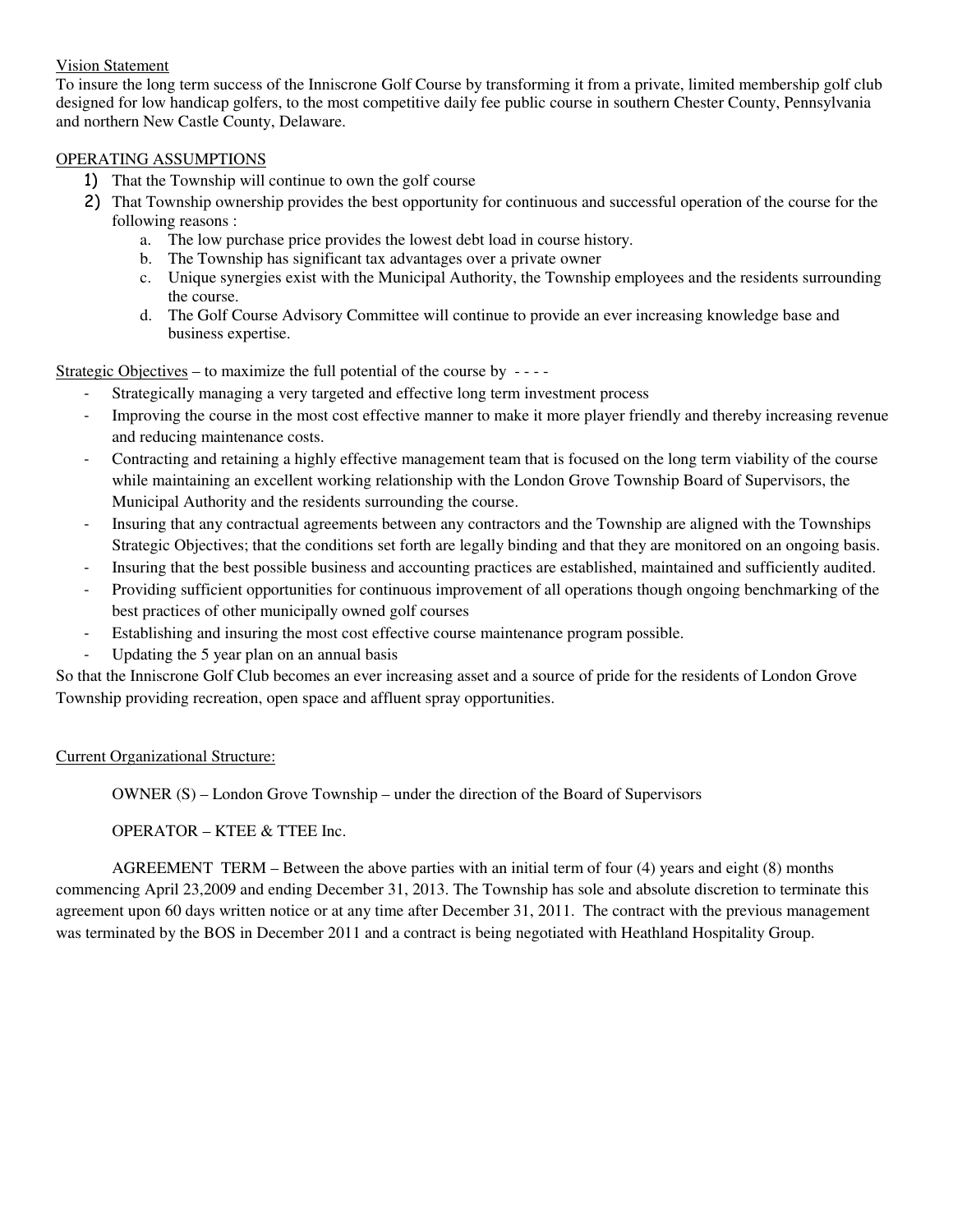#### Vision Statement

To insure the long term success of the Inniscrone Golf Course by transforming it from a private, limited membership golf club designed for low handicap golfers, to the most competitive daily fee public course in southern Chester County, Pennsylvania and northern New Castle County, Delaware.

#### OPERATING ASSUMPTIONS

- 1) That the Township will continue to own the golf course
- 2) That Township ownership provides the best opportunity for continuous and successful operation of the course for the following reasons :
	- a. The low purchase price provides the lowest debt load in course history.
	- b. The Township has significant tax advantages over a private owner
	- c. Unique synergies exist with the Municipal Authority, the Township employees and the residents surrounding the course.
	- d. The Golf Course Advisory Committee will continue to provide an ever increasing knowledge base and business expertise.

Strategic Objectives – to maximize the full potential of the course by - - - -

- Strategically managing a very targeted and effective long term investment process
- Improving the course in the most cost effective manner to make it more player friendly and thereby increasing revenue and reducing maintenance costs.
- Contracting and retaining a highly effective management team that is focused on the long term viability of the course while maintaining an excellent working relationship with the London Grove Township Board of Supervisors, the Municipal Authority and the residents surrounding the course.
- Insuring that any contractual agreements between any contractors and the Township are aligned with the Townships Strategic Objectives; that the conditions set forth are legally binding and that they are monitored on an ongoing basis.
- Insuring that the best possible business and accounting practices are established, maintained and sufficiently audited.
- Providing sufficient opportunities for continuous improvement of all operations though ongoing benchmarking of the best practices of other municipally owned golf courses
- Establishing and insuring the most cost effective course maintenance program possible.
- Updating the 5 year plan on an annual basis

So that the Inniscrone Golf Club becomes an ever increasing asset and a source of pride for the residents of London Grove Township providing recreation, open space and affluent spray opportunities.

#### Current Organizational Structure:

OWNER (S) – London Grove Township – under the direction of the Board of Supervisors

#### OPERATOR – KTEE & TTEE Inc.

 AGREEMENT TERM – Between the above parties with an initial term of four (4) years and eight (8) months commencing April 23,2009 and ending December 31, 2013. The Township has sole and absolute discretion to terminate this agreement upon 60 days written notice or at any time after December 31, 2011. The contract with the previous management was terminated by the BOS in December 2011 and a contract is being negotiated with Heathland Hospitality Group.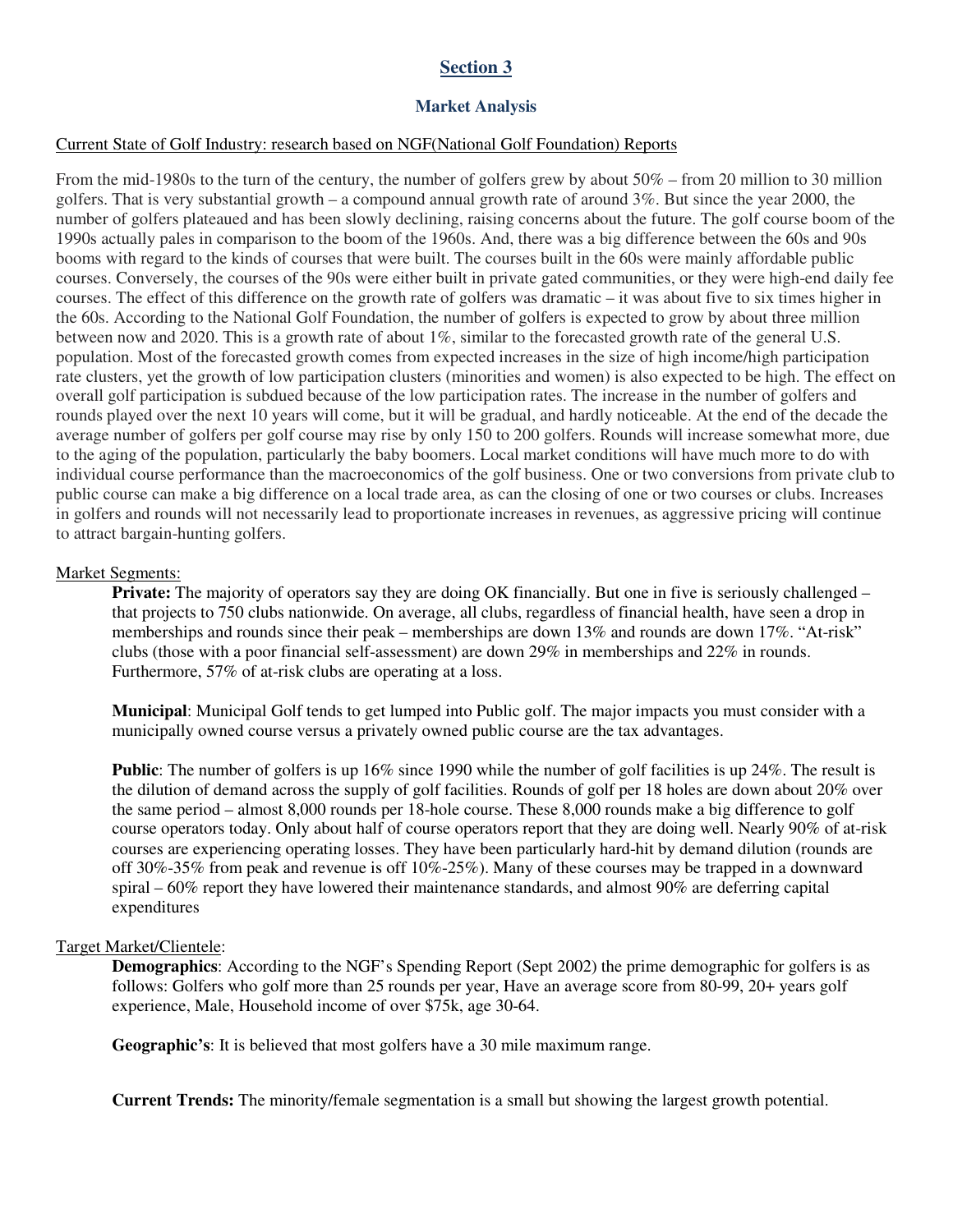#### **Market Analysis**

#### Current State of Golf Industry: research based on NGF(National Golf Foundation) Reports

From the mid-1980s to the turn of the century, the number of golfers grew by about 50% – from 20 million to 30 million golfers. That is very substantial growth – a compound annual growth rate of around 3%. But since the year 2000, the number of golfers plateaued and has been slowly declining, raising concerns about the future. The golf course boom of the 1990s actually pales in comparison to the boom of the 1960s. And, there was a big difference between the 60s and 90s booms with regard to the kinds of courses that were built. The courses built in the 60s were mainly affordable public courses. Conversely, the courses of the 90s were either built in private gated communities, or they were high-end daily fee courses. The effect of this difference on the growth rate of golfers was dramatic – it was about five to six times higher in the 60s. According to the National Golf Foundation, the number of golfers is expected to grow by about three million between now and 2020. This is a growth rate of about 1%, similar to the forecasted growth rate of the general U.S. population. Most of the forecasted growth comes from expected increases in the size of high income/high participation rate clusters, yet the growth of low participation clusters (minorities and women) is also expected to be high. The effect on overall golf participation is subdued because of the low participation rates. The increase in the number of golfers and rounds played over the next 10 years will come, but it will be gradual, and hardly noticeable. At the end of the decade the average number of golfers per golf course may rise by only 150 to 200 golfers. Rounds will increase somewhat more, due to the aging of the population, particularly the baby boomers. Local market conditions will have much more to do with individual course performance than the macroeconomics of the golf business. One or two conversions from private club to public course can make a big difference on a local trade area, as can the closing of one or two courses or clubs. Increases in golfers and rounds will not necessarily lead to proportionate increases in revenues, as aggressive pricing will continue to attract bargain-hunting golfers.

#### Market Segments:

**Private:** The majority of operators say they are doing OK financially. But one in five is seriously challenged – that projects to 750 clubs nationwide. On average, all clubs, regardless of financial health, have seen a drop in memberships and rounds since their peak – memberships are down 13% and rounds are down 17%. "At-risk" clubs (those with a poor financial self-assessment) are down 29% in memberships and 22% in rounds. Furthermore, 57% of at-risk clubs are operating at a loss.

**Municipal**: Municipal Golf tends to get lumped into Public golf. The major impacts you must consider with a municipally owned course versus a privately owned public course are the tax advantages.

**Public**: The number of golfers is up 16% since 1990 while the number of golf facilities is up 24%. The result is the dilution of demand across the supply of golf facilities. Rounds of golf per 18 holes are down about 20% over the same period – almost 8,000 rounds per 18-hole course. These 8,000 rounds make a big difference to golf course operators today. Only about half of course operators report that they are doing well. Nearly 90% of at-risk courses are experiencing operating losses. They have been particularly hard-hit by demand dilution (rounds are off 30%-35% from peak and revenue is off 10%-25%). Many of these courses may be trapped in a downward spiral – 60% report they have lowered their maintenance standards, and almost 90% are deferring capital expenditures

#### Target Market/Clientele:

**Demographics**: According to the NGF's Spending Report (Sept 2002) the prime demographic for golfers is as follows: Golfers who golf more than 25 rounds per year, Have an average score from 80-99, 20+ years golf experience, Male, Household income of over \$75k, age 30-64.

**Geographic's**: It is believed that most golfers have a 30 mile maximum range.

**Current Trends:** The minority/female segmentation is a small but showing the largest growth potential.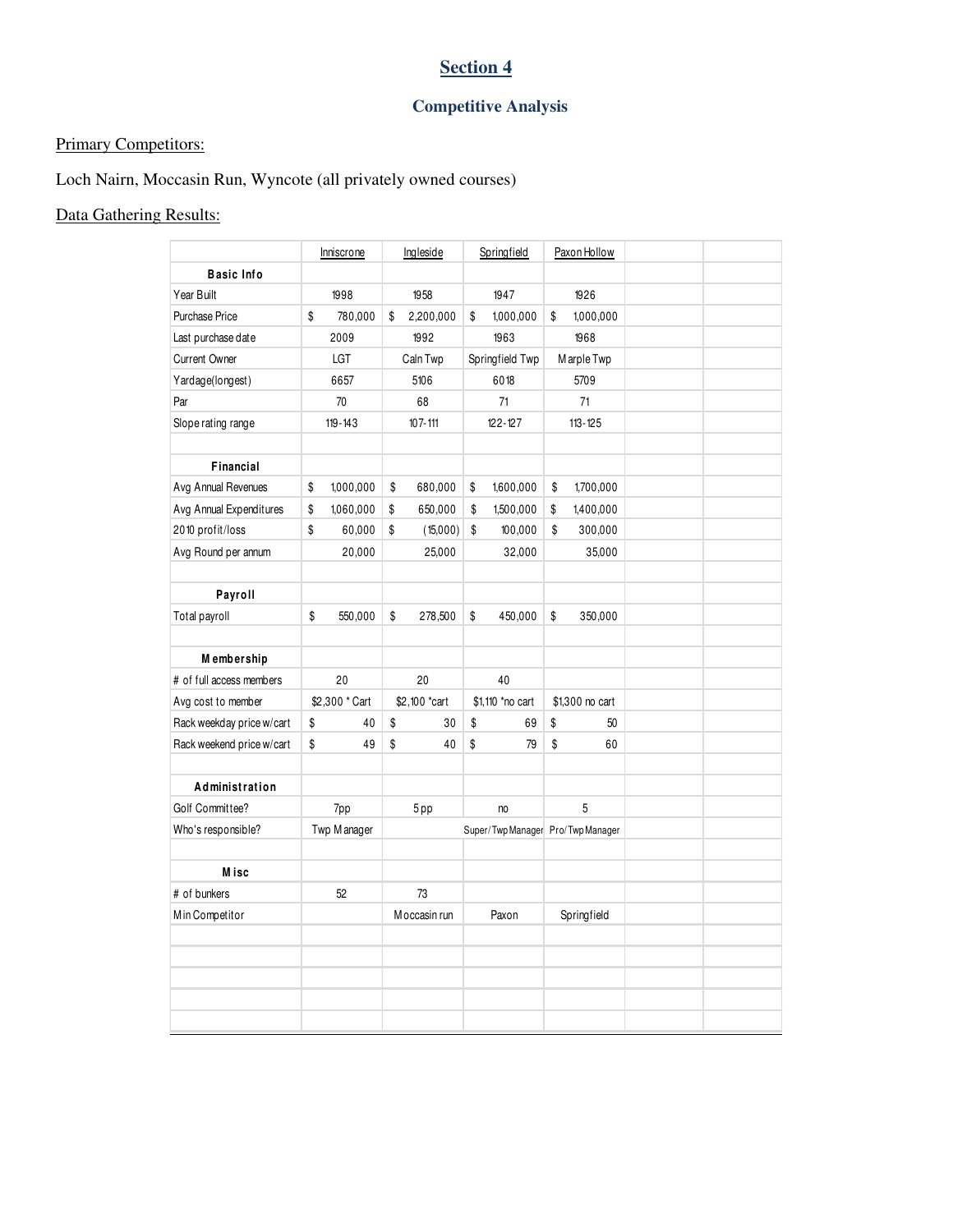## **Competitive Analysis**

## Primary Competitors:

## Loch Nairn, Moccasin Run, Wyncote (all privately owned courses)

## Data Gathering Results:

|                             | Inniscrone      | Ingleside       | Springfield                       | Paxon Hollow    |  |
|-----------------------------|-----------------|-----------------|-----------------------------------|-----------------|--|
| <b>Basic Info</b>           |                 |                 |                                   |                 |  |
| Year Built                  | 1998            | 1958            | 1947                              | 1926            |  |
| <b>Purchase Price</b>       | \$<br>780,000   | \$<br>2,200,000 | \$<br>1,000,000                   | \$<br>1,000,000 |  |
| Last purchase date          | 2009            | 1992            | 1963                              | 1968            |  |
| <b>Current Owner</b>        | LGT             | Caln Twp        | Springfield Twp                   | Marple Twp      |  |
| Yardage(longest)            | 6657            | 5106            | 6018                              | 5709            |  |
| Par                         | 70              | 68              | 71                                | 71              |  |
| Slope rating range          | $119 - 143$     | $107 - 111$     | $122 - 127$                       | $113 - 125$     |  |
|                             |                 |                 |                                   |                 |  |
| Financial                   |                 |                 |                                   |                 |  |
| Avg Annual Revenues         | \$<br>1,000,000 | \$<br>680,000   | \$<br>1,600,000                   | \$<br>1,700,000 |  |
| Avg Annual Expenditures     | \$<br>1,060,000 | \$<br>650,000   | \$<br>1,500,000                   | \$<br>1,400,000 |  |
| 2010 profit/loss            | \$<br>60,000    | \$<br>(15,000)  | \$<br>100,000                     | \$<br>300,000   |  |
| Avg Round per annum         | 20,000          | 25,000          | 32,000                            | 35,000          |  |
|                             |                 |                 |                                   |                 |  |
| Payroll                     |                 |                 |                                   |                 |  |
| Total payroll               | \$<br>550,000   | \$<br>278,500   | \$<br>450,000                     | \$<br>350,000   |  |
|                             |                 |                 |                                   |                 |  |
| Membership                  |                 |                 |                                   |                 |  |
| # of full access members    | 20              | 20              | 40                                |                 |  |
| Avg cost to member          | \$2,300 * Cart  | \$2,100 *cart   | \$1,110 *no cart                  | \$1,300 no cart |  |
| Rack weekday price w/cart   | \$<br>40        | \$<br>30        | \$<br>69                          | \$<br>50        |  |
| Rack weekend price w/cart   | \$<br>49        | \$<br>40        | \$<br>79                          | \$<br>60        |  |
|                             |                 |                 |                                   |                 |  |
| Administration              |                 |                 |                                   |                 |  |
| Golf Committee?             | 7pp             | 5pp             | no                                | 5               |  |
| Who's responsible?          | Twp M anager    |                 | Super/Twp Manager Pro/Twp Manager |                 |  |
|                             |                 |                 |                                   |                 |  |
| <b>Misc</b><br># of bunkers | 52              | 73              |                                   |                 |  |
| Min Competitor              |                 | Moccasin run    | Paxon                             | Springfield     |  |
|                             |                 |                 |                                   |                 |  |
|                             |                 |                 |                                   |                 |  |
|                             |                 |                 |                                   |                 |  |
|                             |                 |                 |                                   |                 |  |
|                             |                 |                 |                                   |                 |  |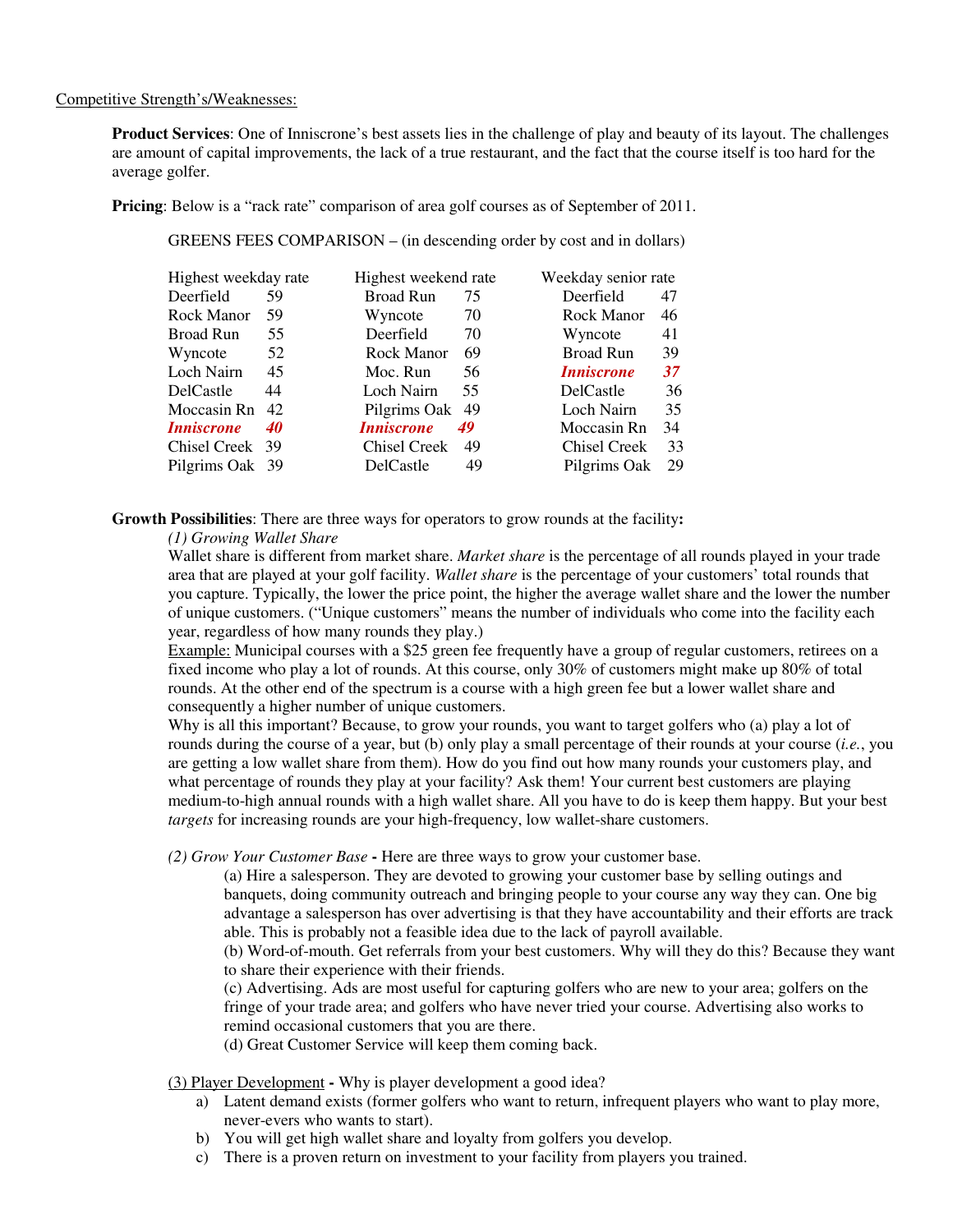#### Competitive Strength's/Weaknesses:

**Product Services**: One of Inniscrone's best assets lies in the challenge of play and beauty of its layout. The challenges are amount of capital improvements, the lack of a true restaurant, and the fact that the course itself is too hard for the average golfer.

**Pricing**: Below is a "rack rate" comparison of area golf courses as of September of 2011.

GREENS FEES COMPARISON – (in descending order by cost and in dollars)

| Highest weekday rate     |    | Highest weekend rate     |    |                          | Weekday senior rate |  |  |
|--------------------------|----|--------------------------|----|--------------------------|---------------------|--|--|
| Deerfield                | 59 | <b>Broad Run</b>         | 75 | Deerfield                | 47                  |  |  |
| Rock Manor               | 59 | Wyncote                  | 70 | Rock Manor               | 46                  |  |  |
| <b>Broad Run</b>         | 55 | Deerfield                | 70 | Wyncote                  | 41                  |  |  |
| Wyncote                  | 52 | Rock Manor               | 69 | <b>Broad Run</b>         | 39                  |  |  |
| Loch Nairn               | 45 | Moc. Run                 | 56 | <i><b>Inniscrone</b></i> | 37                  |  |  |
| DelCastle                | 44 | Loch Nairn               | 55 | DelCastle                | 36                  |  |  |
| Moccasin Rn 42           |    | Pilgrims Oak             | 49 | Loch Nairn               | 35                  |  |  |
| <i><b>Inniscrone</b></i> | 40 | <i><b>Inniscrone</b></i> | 49 | Moccasin Rn              | 34                  |  |  |
| Chisel Creek 39          |    | Chisel Creek             | 49 | Chisel Creek             | 33                  |  |  |
| Pilgrims Oak 39          |    | DelCastle                | 49 | Pilgrims Oak             | 29                  |  |  |

**Growth Possibilities**: There are three ways for operators to grow rounds at the facility**:** 

*(1) Growing Wallet Share* 

Wallet share is different from market share. *Market share* is the percentage of all rounds played in your trade area that are played at your golf facility. *Wallet share* is the percentage of your customers' total rounds that you capture. Typically, the lower the price point, the higher the average wallet share and the lower the number of unique customers. ("Unique customers" means the number of individuals who come into the facility each year, regardless of how many rounds they play.)

Example: Municipal courses with a \$25 green fee frequently have a group of regular customers, retirees on a fixed income who play a lot of rounds. At this course, only 30% of customers might make up 80% of total rounds. At the other end of the spectrum is a course with a high green fee but a lower wallet share and consequently a higher number of unique customers.

Why is all this important? Because, to grow your rounds, you want to target golfers who (a) play a lot of rounds during the course of a year, but (b) only play a small percentage of their rounds at your course (*i.e.*, you are getting a low wallet share from them). How do you find out how many rounds your customers play, and what percentage of rounds they play at your facility? Ask them! Your current best customers are playing medium-to-high annual rounds with a high wallet share. All you have to do is keep them happy. But your best *targets* for increasing rounds are your high-frequency, low wallet-share customers.

*(2) Grow Your Customer Base* **-** Here are three ways to grow your customer base.

(a) Hire a salesperson. They are devoted to growing your customer base by selling outings and banquets, doing community outreach and bringing people to your course any way they can. One big advantage a salesperson has over advertising is that they have accountability and their efforts are track able. This is probably not a feasible idea due to the lack of payroll available.

(b) Word-of-mouth. Get referrals from your best customers. Why will they do this? Because they want to share their experience with their friends.

(c) Advertising. Ads are most useful for capturing golfers who are new to your area; golfers on the fringe of your trade area; and golfers who have never tried your course. Advertising also works to remind occasional customers that you are there.

(d) Great Customer Service will keep them coming back.

(3) Player Development **-** Why is player development a good idea?

- a) Latent demand exists (former golfers who want to return, infrequent players who want to play more, never-evers who wants to start).
- b) You will get high wallet share and loyalty from golfers you develop.
- c) There is a proven return on investment to your facility from players you trained.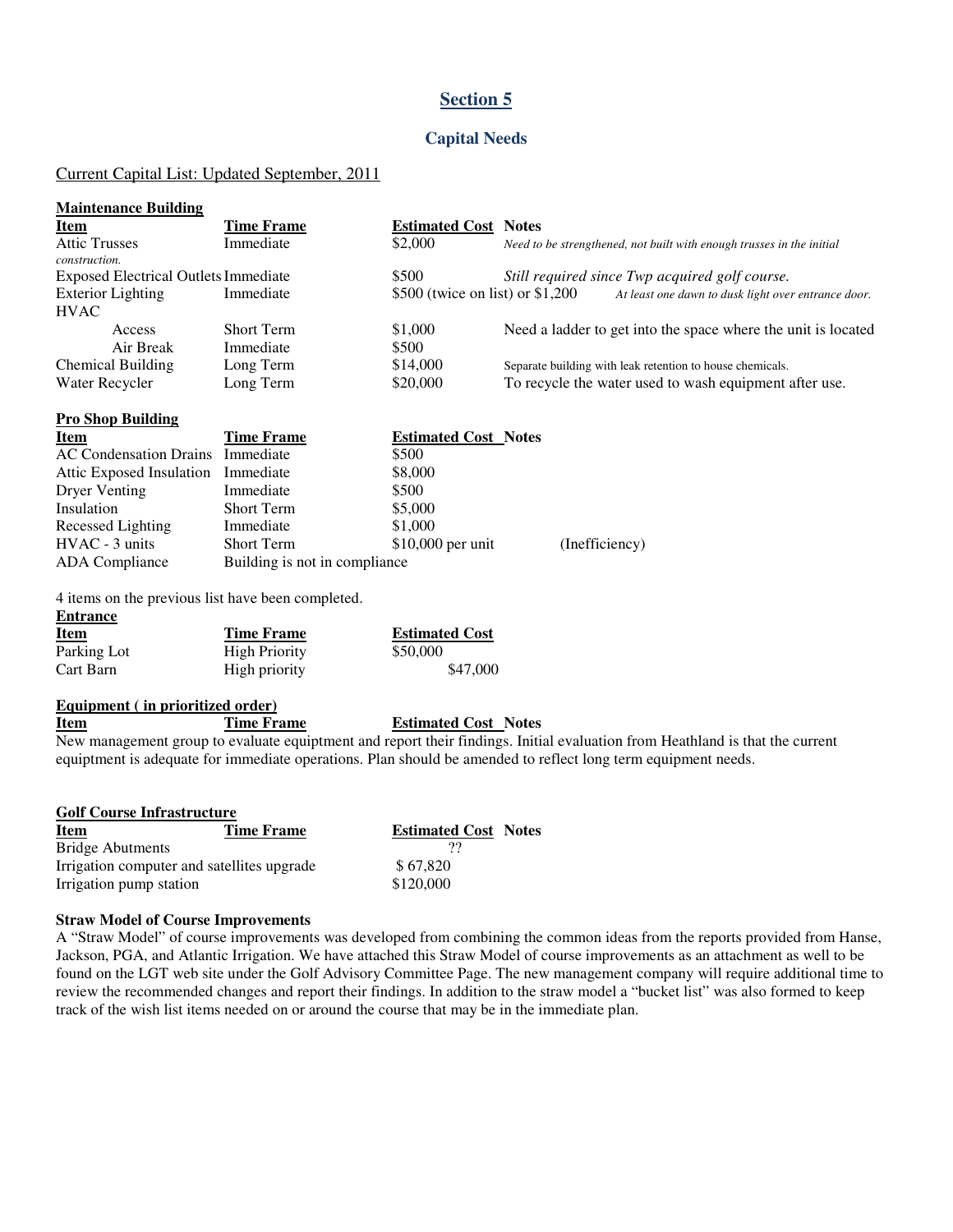#### **Capital Needs**

#### Current Capital List: Updated September, 2011

| <b>Maintenance Building</b>                 |                   |                                   |                                                                       |
|---------------------------------------------|-------------------|-----------------------------------|-----------------------------------------------------------------------|
| <u>Item</u>                                 | <b>Time Frame</b> | <b>Estimated Cost</b>             | <b>Notes</b>                                                          |
| <b>Attic Trusses</b><br>construction.       | Immediate         | \$2,000                           | Need to be strengthened, not built with enough trusses in the initial |
| <b>Exposed Electrical Outlets Immediate</b> |                   | \$500                             | Still required since Twp acquired golf course.                        |
| <b>Exterior Lighting</b>                    | Immediate         | \$500 (twice on list) or $$1,200$ | At least one dawn to dusk light over entrance door.                   |
| <b>HVAC</b>                                 |                   |                                   |                                                                       |
| Access                                      | <b>Short Term</b> | \$1,000                           | Need a ladder to get into the space where the unit is located         |
| Air Break                                   | Immediate         | \$500                             |                                                                       |
| <b>Chemical Building</b>                    | Long Term         | \$14,000                          | Separate building with leak retention to house chemicals.             |
| Water Recycler                              | Long Term         | \$20,000                          | To recycle the water used to wash equipment after use.                |

| <b>Item</b>                        | <b>Time Frame</b>             | <b>Estimated Cost Notes</b> |                |
|------------------------------------|-------------------------------|-----------------------------|----------------|
| AC Condensation Drains Immediate   |                               | \$500                       |                |
| Attic Exposed Insulation Immediate |                               | \$8,000                     |                |
| Dryer Venting                      | Immediate                     | \$500                       |                |
| Insulation                         | <b>Short Term</b>             | \$5,000                     |                |
| Recessed Lighting                  | Immediate                     | \$1,000                     |                |
| HVAC - 3 units                     | <b>Short Term</b>             | $$10,000$ per unit          | (Inefficiency) |
| ADA Compliance                     | Building is not in compliance |                             |                |

4 items on the previous list have been completed.

| Item        | Time Frame           | <b>Estimated Cost</b> |
|-------------|----------------------|-----------------------|
| Parking Lot | <b>High Priority</b> | \$50,000              |
| Cart Barn   | High priority        | \$47,000              |

#### **Equipment ( in prioritized order)**

**Pro Shop Building** 

**Entrance** 

#### **Item Time Frame Estimated Cost Notes**

New management group to evaluate equiptment and report their findings. Initial evaluation from Heathland is that the current equiptment is adequate for immediate operations. Plan should be amended to reflect long term equipment needs.

| <b>Golf Course Infrastructure</b>          |            |                             |  |  |  |  |  |  |
|--------------------------------------------|------------|-----------------------------|--|--|--|--|--|--|
| <b>Item</b>                                | Time Frame | <b>Estimated Cost Notes</b> |  |  |  |  |  |  |
| <b>Bridge Abutments</b>                    |            |                             |  |  |  |  |  |  |
| Irrigation computer and satellites upgrade |            | \$67,820                    |  |  |  |  |  |  |
| Irrigation pump station                    |            | \$120,000                   |  |  |  |  |  |  |

#### **Straw Model of Course Improvements**

A "Straw Model" of course improvements was developed from combining the common ideas from the reports provided from Hanse, Jackson, PGA, and Atlantic Irrigation. We have attached this Straw Model of course improvements as an attachment as well to be found on the LGT web site under the Golf Advisory Committee Page. The new management company will require additional time to review the recommended changes and report their findings. In addition to the straw model a "bucket list" was also formed to keep track of the wish list items needed on or around the course that may be in the immediate plan.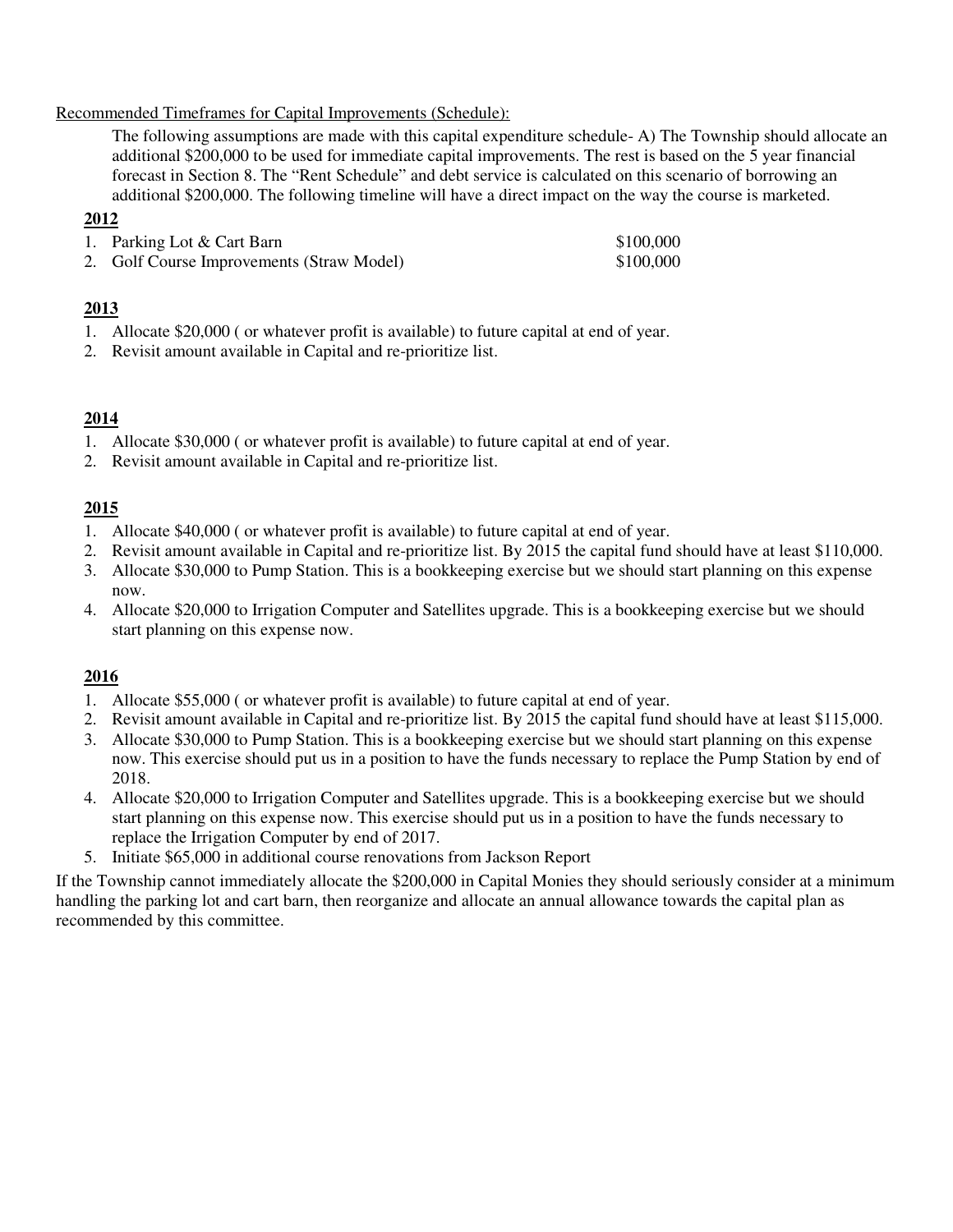### Recommended Timeframes for Capital Improvements (Schedule):

The following assumptions are made with this capital expenditure schedule- A) The Township should allocate an additional \$200,000 to be used for immediate capital improvements. The rest is based on the 5 year financial forecast in Section 8. The "Rent Schedule" and debt service is calculated on this scenario of borrowing an additional \$200,000. The following timeline will have a direct impact on the way the course is marketed.

## **2012**

| 1. Parking Lot & Cart Barn                | \$100,000 |
|-------------------------------------------|-----------|
| 2. Golf Course Improvements (Straw Model) | \$100,000 |

## **2013**

- 1. Allocate \$20,000 ( or whatever profit is available) to future capital at end of year.
- 2. Revisit amount available in Capital and re-prioritize list.

## **2014**

- 1. Allocate \$30,000 ( or whatever profit is available) to future capital at end of year.
- 2. Revisit amount available in Capital and re-prioritize list.

## **2015**

- 1. Allocate \$40,000 ( or whatever profit is available) to future capital at end of year.
- 2. Revisit amount available in Capital and re-prioritize list. By 2015 the capital fund should have at least \$110,000.
- 3. Allocate \$30,000 to Pump Station. This is a bookkeeping exercise but we should start planning on this expense now.
- 4. Allocate \$20,000 to Irrigation Computer and Satellites upgrade. This is a bookkeeping exercise but we should start planning on this expense now.

## **2016**

- 1. Allocate \$55,000 ( or whatever profit is available) to future capital at end of year.
- 2. Revisit amount available in Capital and re-prioritize list. By 2015 the capital fund should have at least \$115,000.
- 3. Allocate \$30,000 to Pump Station. This is a bookkeeping exercise but we should start planning on this expense now. This exercise should put us in a position to have the funds necessary to replace the Pump Station by end of 2018.
- 4. Allocate \$20,000 to Irrigation Computer and Satellites upgrade. This is a bookkeeping exercise but we should start planning on this expense now. This exercise should put us in a position to have the funds necessary to replace the Irrigation Computer by end of 2017.
- 5. Initiate \$65,000 in additional course renovations from Jackson Report

If the Township cannot immediately allocate the \$200,000 in Capital Monies they should seriously consider at a minimum handling the parking lot and cart barn, then reorganize and allocate an annual allowance towards the capital plan as recommended by this committee.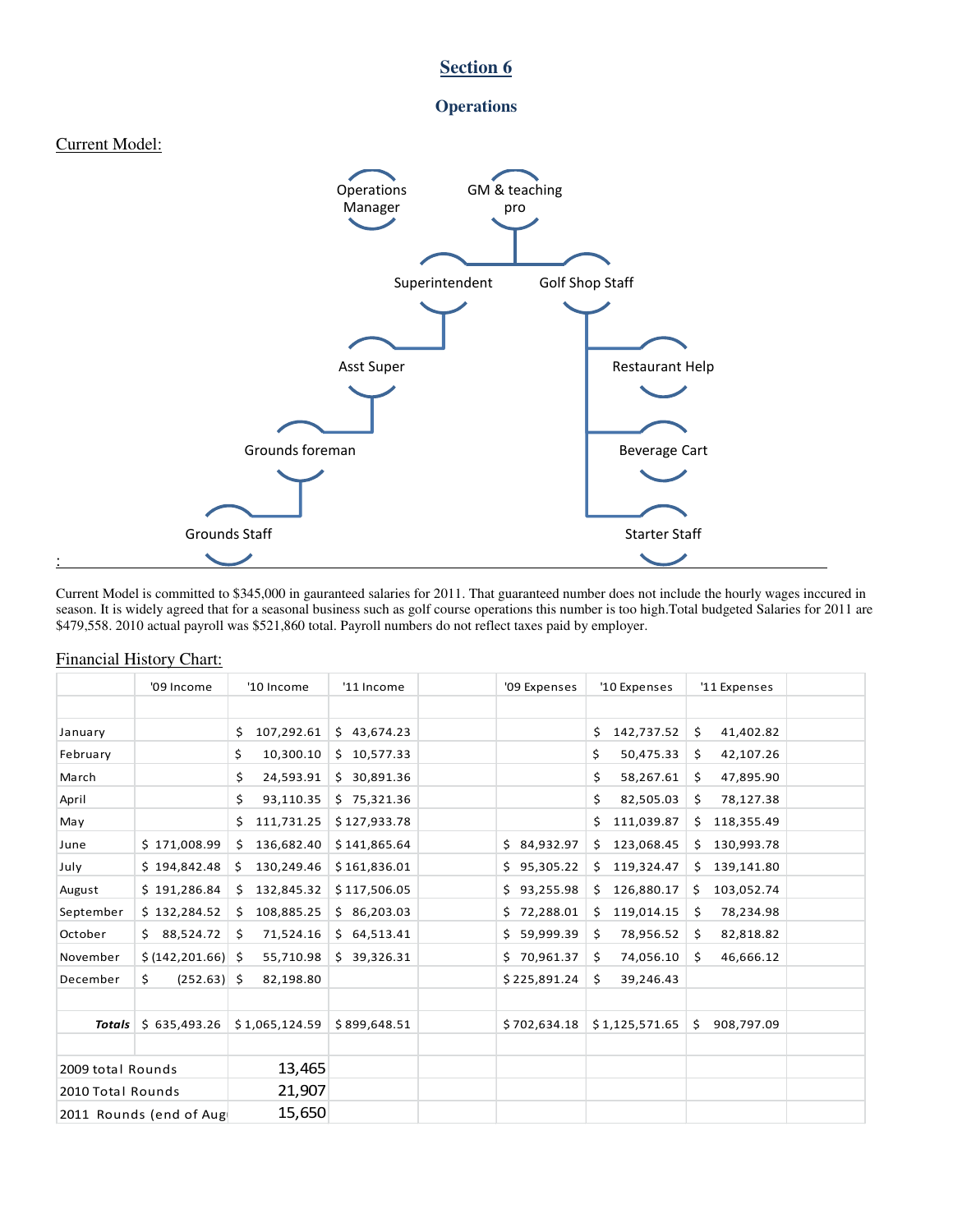



Current Model is committed to \$345,000 in gauranteed salaries for 2011. That guaranteed number does not include the hourly wages inccured in season. It is widely agreed that for a seasonal business such as golf course operations this number is too high.Total budgeted Salaries for 2011 are \$479,558. 2010 actual payroll was \$521,860 total. Payroll numbers do not reflect taxes paid by employer.

|                   | '09 Income              | '10 Income        | '11 Income   | '09 Expenses | '10 Expenses      | '11 Expenses     |  |
|-------------------|-------------------------|-------------------|--------------|--------------|-------------------|------------------|--|
|                   |                         |                   |              |              |                   |                  |  |
| January           |                         | 107,292.61<br>\$. | \$43,674.23  |              | 142,737.52<br>\$  | 41,402.82<br>\$  |  |
| February          |                         | 10,300.10<br>\$.  | \$10,577.33  |              | 50,475.33<br>\$   | 42,107.26<br>\$  |  |
| March             |                         | \$<br>24,593.91   | \$30,891.36  |              | \$<br>58,267.61   | 47,895.90<br>\$  |  |
| April             |                         | 93,110.35<br>\$.  | \$75,321.36  |              | \$<br>82,505.03   | 78,127.38<br>\$  |  |
| May               |                         | 111,731.25<br>\$  | \$127,933.78 |              | 111,039.87<br>\$  | 118,355.49<br>\$ |  |
| June              | \$171,008.99            | 136,682.40<br>\$  | \$141,865.64 | \$84,932.97  | 123,068.45<br>\$  | 130,993.78<br>\$ |  |
| July              | \$194,842.48            | 130,249.46<br>Ş.  | \$161,836.01 | \$95,305.22  | 119,324.47<br>\$. | 139,141.80<br>Ś. |  |
| August            | \$191,286.84            | 132,845.32<br>\$. | \$117,506.05 | \$93,255.98  | 126,880.17<br>\$  | 103,052.74<br>\$ |  |
| September         | \$132,284.52            | 108,885.25<br>\$  | \$86,203.03  | \$72,288.01  | 119,014.15<br>Ś.  | 78,234.98<br>\$  |  |
| October           | \$88,524.72             | 71,524.16<br>\$   | \$64,513.41  | \$59,999.39  | 78,956.52<br>\$   | 82,818.82<br>\$  |  |
| November          | \$ (142, 201.66) \$     | 55,710.98         | \$39,326.31  | \$70,961.37  | 74,056.10<br>\$   | 46,666.12<br>Ś   |  |
| December          | \$<br>$(252.63)$ \$     | 82,198.80         |              | \$225,891.24 | \$<br>39,246.43   |                  |  |
|                   |                         |                   |              |              |                   |                  |  |
| <b>Totals</b>     | \$635,493.26            | \$1,065,124.59    | \$899,648.51 | \$702,634.18 | \$1,125,571.65    | 908,797.09<br>\$ |  |
|                   |                         |                   |              |              |                   |                  |  |
| 2009 total Rounds |                         | 13,465            |              |              |                   |                  |  |
| 2010 Total Rounds |                         | 21,907            |              |              |                   |                  |  |
|                   | 2011 Rounds (end of Aug | 15,650            |              |              |                   |                  |  |

#### Financial History Chart: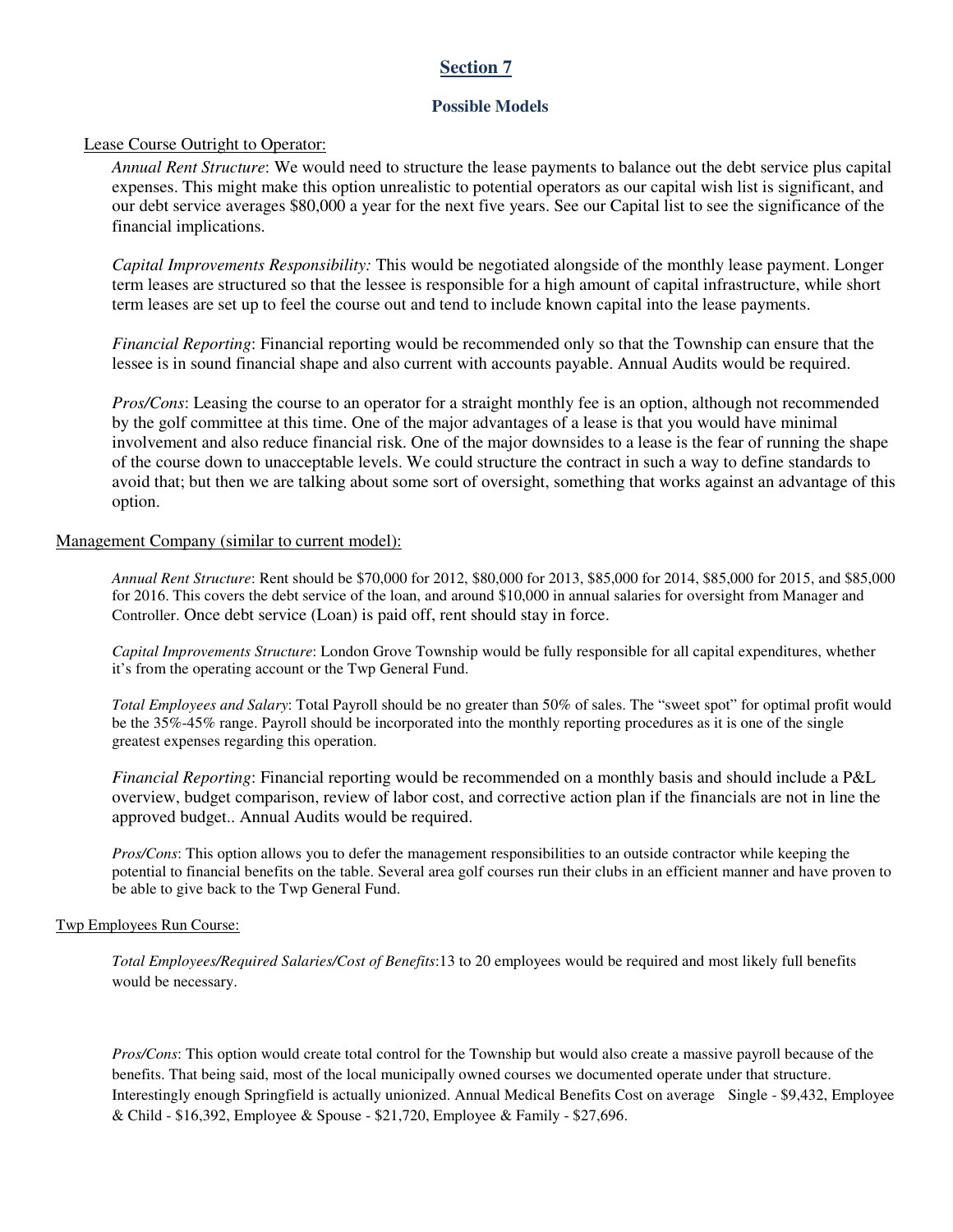### **Possible Models**

#### Lease Course Outright to Operator:

*Annual Rent Structure*: We would need to structure the lease payments to balance out the debt service plus capital expenses. This might make this option unrealistic to potential operators as our capital wish list is significant, and our debt service averages \$80,000 a year for the next five years. See our Capital list to see the significance of the financial implications.

*Capital Improvements Responsibility:* This would be negotiated alongside of the monthly lease payment. Longer term leases are structured so that the lessee is responsible for a high amount of capital infrastructure, while short term leases are set up to feel the course out and tend to include known capital into the lease payments.

*Financial Reporting*: Financial reporting would be recommended only so that the Township can ensure that the lessee is in sound financial shape and also current with accounts payable. Annual Audits would be required.

*Pros/Cons*: Leasing the course to an operator for a straight monthly fee is an option, although not recommended by the golf committee at this time. One of the major advantages of a lease is that you would have minimal involvement and also reduce financial risk. One of the major downsides to a lease is the fear of running the shape of the course down to unacceptable levels. We could structure the contract in such a way to define standards to avoid that; but then we are talking about some sort of oversight, something that works against an advantage of this option.

#### Management Company (similar to current model):

*Annual Rent Structure*: Rent should be \$70,000 for 2012, \$80,000 for 2013, \$85,000 for 2014, \$85,000 for 2015, and \$85,000 for 2016. This covers the debt service of the loan, and around \$10,000 in annual salaries for oversight from Manager and Controller. Once debt service (Loan) is paid off, rent should stay in force.

*Capital Improvements Structure*: London Grove Township would be fully responsible for all capital expenditures, whether it's from the operating account or the Twp General Fund.

*Total Employees and Salary*: Total Payroll should be no greater than 50% of sales. The "sweet spot" for optimal profit would be the 35%-45% range. Payroll should be incorporated into the monthly reporting procedures as it is one of the single greatest expenses regarding this operation.

*Financial Reporting*: Financial reporting would be recommended on a monthly basis and should include a P&L overview, budget comparison, review of labor cost, and corrective action plan if the financials are not in line the approved budget.. Annual Audits would be required.

*Pros/Cons*: This option allows you to defer the management responsibilities to an outside contractor while keeping the potential to financial benefits on the table. Several area golf courses run their clubs in an efficient manner and have proven to be able to give back to the Twp General Fund.

#### Twp Employees Run Course:

*Total Employees/Required Salaries/Cost of Benefits*:13 to 20 employees would be required and most likely full benefits would be necessary.

*Pros/Cons*: This option would create total control for the Township but would also create a massive payroll because of the benefits. That being said, most of the local municipally owned courses we documented operate under that structure. Interestingly enough Springfield is actually unionized. Annual Medical Benefits Cost on average Single - \$9,432, Employee & Child - \$16,392, Employee & Spouse - \$21,720, Employee & Family - \$27,696.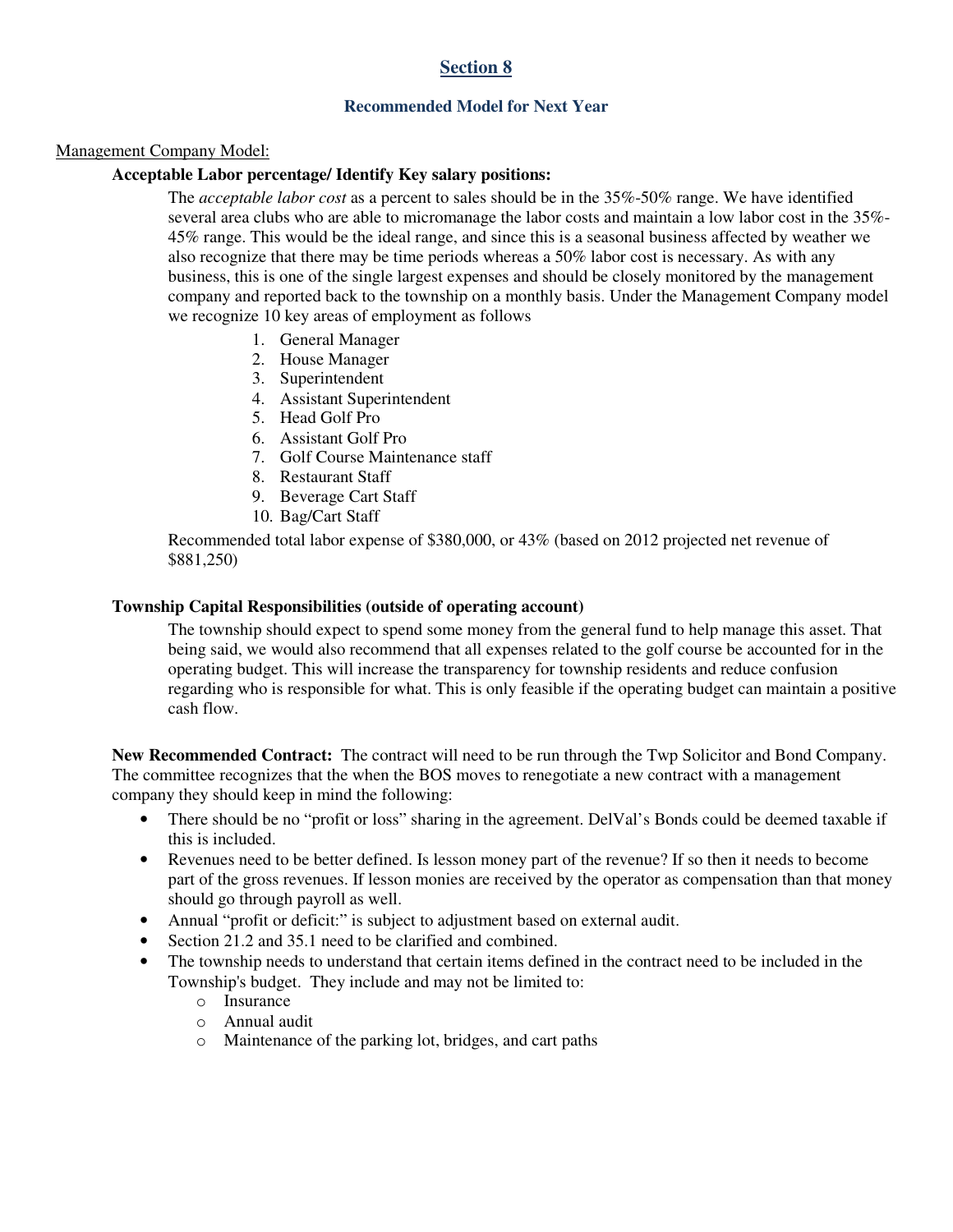## **Recommended Model for Next Year**

#### Management Company Model:

## **Acceptable Labor percentage/ Identify Key salary positions:**

The *acceptable labor cost* as a percent to sales should be in the 35%-50% range. We have identified several area clubs who are able to micromanage the labor costs and maintain a low labor cost in the 35%- 45% range. This would be the ideal range, and since this is a seasonal business affected by weather we also recognize that there may be time periods whereas a 50% labor cost is necessary. As with any business, this is one of the single largest expenses and should be closely monitored by the management company and reported back to the township on a monthly basis. Under the Management Company model we recognize 10 key areas of employment as follows

- 1. General Manager
- 2. House Manager
- 3. Superintendent
- 4. Assistant Superintendent
- 5. Head Golf Pro
- 6. Assistant Golf Pro
- 7. Golf Course Maintenance staff
- 8. Restaurant Staff
- 9. Beverage Cart Staff
- 10. Bag/Cart Staff

Recommended total labor expense of \$380,000, or 43% (based on 2012 projected net revenue of \$881,250)

#### **Township Capital Responsibilities (outside of operating account)**

The township should expect to spend some money from the general fund to help manage this asset. That being said, we would also recommend that all expenses related to the golf course be accounted for in the operating budget. This will increase the transparency for township residents and reduce confusion regarding who is responsible for what. This is only feasible if the operating budget can maintain a positive cash flow.

**New Recommended Contract:** The contract will need to be run through the Twp Solicitor and Bond Company. The committee recognizes that the when the BOS moves to renegotiate a new contract with a management company they should keep in mind the following:

- There should be no "profit or loss" sharing in the agreement. DelVal's Bonds could be deemed taxable if this is included.
- Revenues need to be better defined. Is lesson money part of the revenue? If so then it needs to become part of the gross revenues. If lesson monies are received by the operator as compensation than that money should go through payroll as well.
- Annual "profit or deficit:" is subject to adjustment based on external audit.
- Section 21.2 and 35.1 need to be clarified and combined.
- The township needs to understand that certain items defined in the contract need to be included in the Township's budget. They include and may not be limited to:
	- o Insurance
	- o Annual audit
	- o Maintenance of the parking lot, bridges, and cart paths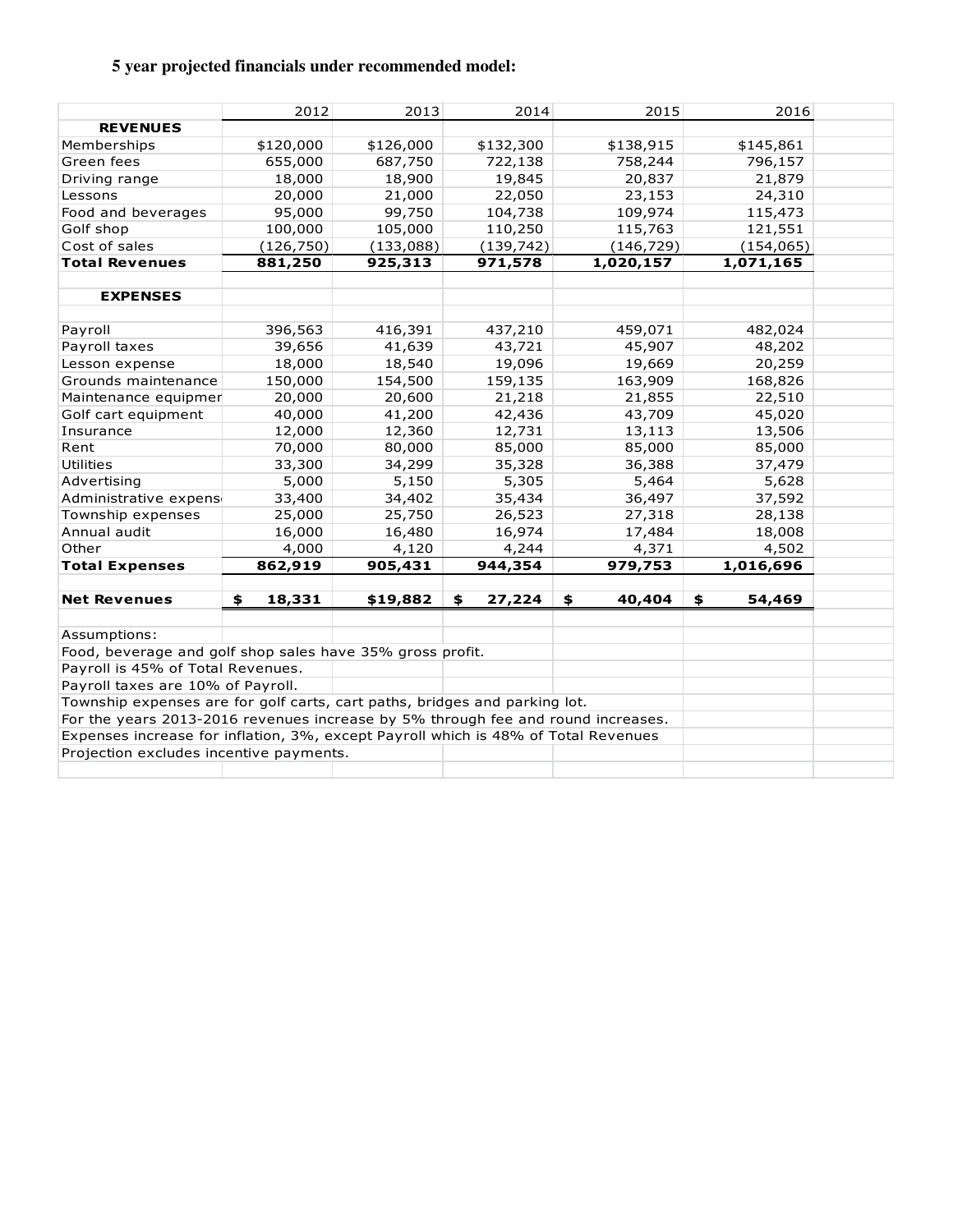## **5 year projected financials under recommended model:**

|                                                                                    | 2012         | 2013      | 2014         | 2015         | 2016         |  |  |
|------------------------------------------------------------------------------------|--------------|-----------|--------------|--------------|--------------|--|--|
| <b>REVENUES</b>                                                                    |              |           |              |              |              |  |  |
| Memberships                                                                        | \$120,000    | \$126,000 | \$132,300    | \$138,915    | \$145,861    |  |  |
| Green fees                                                                         | 655,000      | 687,750   | 722,138      | 758,244      | 796,157      |  |  |
| Driving range                                                                      | 18,000       | 18,900    | 19,845       | 20,837       | 21,879       |  |  |
| Lessons                                                                            | 20,000       | 21,000    | 22,050       | 23,153       | 24,310       |  |  |
| Food and beverages                                                                 | 95,000       | 99,750    | 104,738      | 109,974      | 115,473      |  |  |
| Golf shop                                                                          | 100,000      | 105,000   | 110,250      | 115,763      | 121,551      |  |  |
| Cost of sales                                                                      | (126, 750)   | (133,088) | (139, 742)   | (146, 729)   | (154, 065)   |  |  |
| <b>Total Revenues</b>                                                              | 881,250      | 925,313   | 971,578      | 1,020,157    | 1,071,165    |  |  |
|                                                                                    |              |           |              |              |              |  |  |
| <b>EXPENSES</b>                                                                    |              |           |              |              |              |  |  |
|                                                                                    |              |           |              |              |              |  |  |
| Payroll                                                                            | 396,563      | 416,391   | 437,210      | 459,071      | 482,024      |  |  |
| Payroll taxes                                                                      | 39,656       | 41,639    | 43,721       | 45,907       | 48,202       |  |  |
| Lesson expense                                                                     | 18,000       | 18,540    | 19,096       | 19,669       | 20,259       |  |  |
| Grounds maintenance                                                                | 150,000      | 154,500   | 159,135      | 163,909      | 168,826      |  |  |
| Maintenance equipmer                                                               | 20,000       | 20,600    | 21,218       | 21,855       | 22,510       |  |  |
| Golf cart equipment                                                                | 40,000       | 41,200    | 42,436       | 43,709       | 45,020       |  |  |
| Insurance                                                                          | 12,000       | 12,360    | 12,731       | 13,113       | 13,506       |  |  |
| Rent                                                                               | 70,000       | 80,000    | 85,000       | 85,000       | 85,000       |  |  |
| <b>Utilities</b>                                                                   | 33,300       | 34,299    | 35,328       | 36,388       | 37,479       |  |  |
| Advertising                                                                        | 5,000        | 5,150     | 5,305        | 5,464        | 5,628        |  |  |
| Administrative expens                                                              | 33,400       | 34,402    | 35,434       | 36,497       | 37,592       |  |  |
| Township expenses                                                                  | 25,000       | 25,750    | 26,523       | 27,318       | 28,138       |  |  |
| Annual audit                                                                       | 16,000       | 16,480    | 16,974       | 17,484       | 18,008       |  |  |
| Other                                                                              | 4,000        | 4,120     | 4,244        | 4,371        | 4,502        |  |  |
| <b>Total Expenses</b>                                                              | 862,919      | 905,431   | 944,354      | 979,753      | 1,016,696    |  |  |
|                                                                                    |              |           |              |              |              |  |  |
| <b>Net Revenues</b>                                                                | 18,331<br>\$ | \$19,882  | \$<br>27,224 | \$<br>40,404 | \$<br>54,469 |  |  |
|                                                                                    |              |           |              |              |              |  |  |
| Assumptions:                                                                       |              |           |              |              |              |  |  |
| Food, beverage and golf shop sales have 35% gross profit.                          |              |           |              |              |              |  |  |
| Payroll is 45% of Total Revenues.                                                  |              |           |              |              |              |  |  |
| Payroll taxes are 10% of Payroll.                                                  |              |           |              |              |              |  |  |
| Township expenses are for golf carts, cart paths, bridges and parking lot.         |              |           |              |              |              |  |  |
| For the years 2013-2016 revenues increase by 5% through fee and round increases.   |              |           |              |              |              |  |  |
| Expenses increase for inflation, 3%, except Payroll which is 48% of Total Revenues |              |           |              |              |              |  |  |
| Projection excludes incentive payments.                                            |              |           |              |              |              |  |  |
|                                                                                    |              |           |              |              |              |  |  |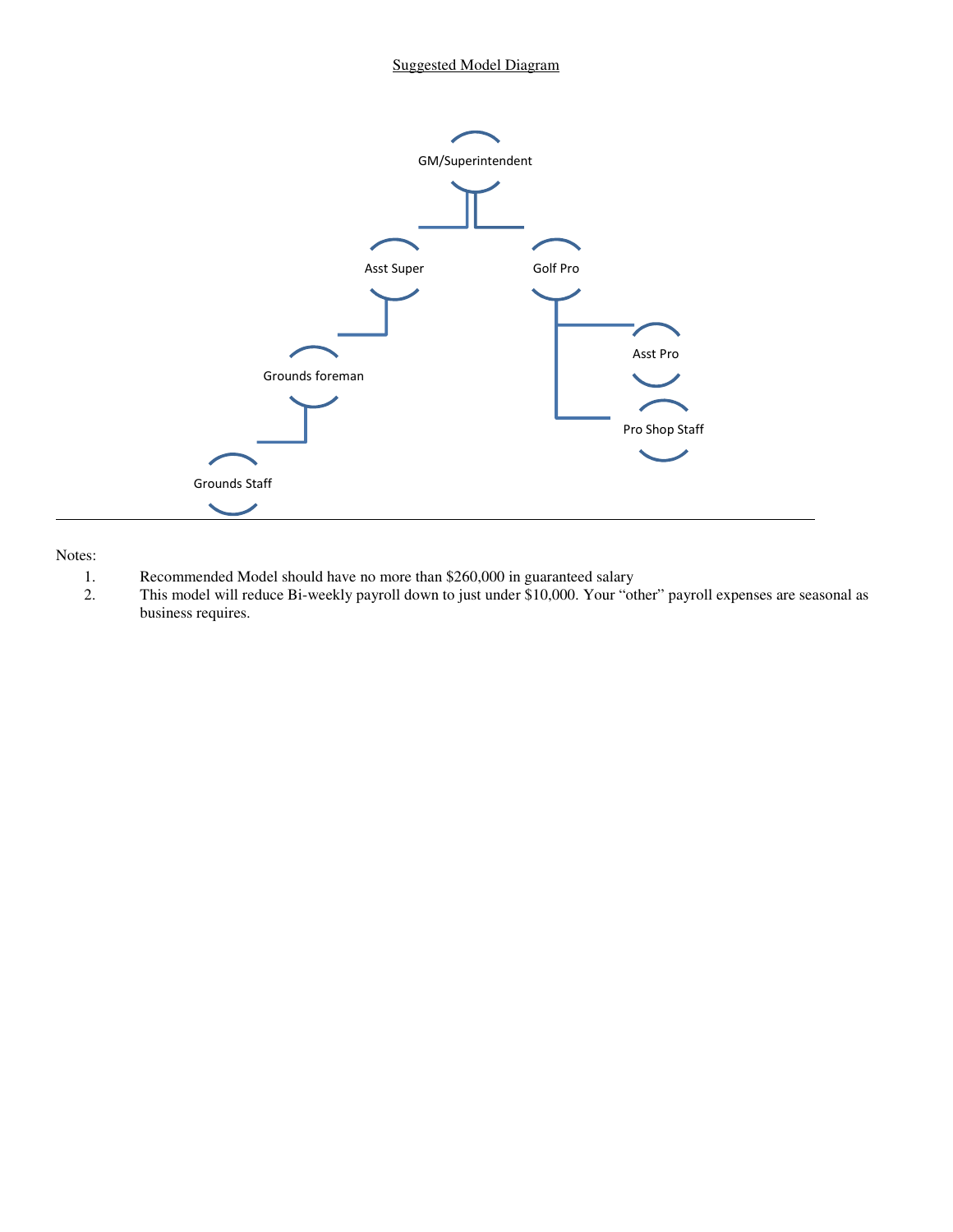#### Suggested Model Diagram



Notes:

- 1. Recommended Model should have no more than \$260,000 in guaranteed salary<br>2. This model will reduce Bi-weekly payroll down to just under \$10,000. Your "ot
- This model will reduce Bi-weekly payroll down to just under \$10,000. Your "other" payroll expenses are seasonal as business requires.